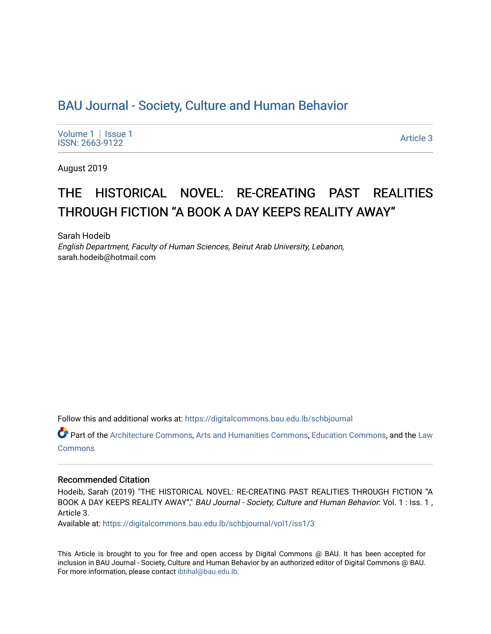# [BAU Journal - Society, Culture and Human Behavior](https://digitalcommons.bau.edu.lb/schbjournal)

[Volume 1](https://digitalcommons.bau.edu.lb/schbjournal/vol1) | Issue 1 Political Pressure Pressure in the Second Second Second Second Second Second Second Second Second Second Second Second Second Second Second Second Second Second Second Second Second Second Second Second Second Second Secon

August 2019

# THE HISTORICAL NOVEL: RE-CREATING PAST REALITIES THROUGH FICTION "A BOOK A DAY KEEPS REALITY AWAY"

Sarah Hodeib English Department, Faculty of Human Sciences, Beirut Arab University, Lebanon, sarah.hodeib@hotmail.com

Follow this and additional works at: [https://digitalcommons.bau.edu.lb/schbjournal](https://digitalcommons.bau.edu.lb/schbjournal?utm_source=digitalcommons.bau.edu.lb%2Fschbjournal%2Fvol1%2Fiss1%2F3&utm_medium=PDF&utm_campaign=PDFCoverPages)

Part of the [Architecture Commons](http://network.bepress.com/hgg/discipline/773?utm_source=digitalcommons.bau.edu.lb%2Fschbjournal%2Fvol1%2Fiss1%2F3&utm_medium=PDF&utm_campaign=PDFCoverPages), [Arts and Humanities Commons](http://network.bepress.com/hgg/discipline/438?utm_source=digitalcommons.bau.edu.lb%2Fschbjournal%2Fvol1%2Fiss1%2F3&utm_medium=PDF&utm_campaign=PDFCoverPages), [Education Commons,](http://network.bepress.com/hgg/discipline/784?utm_source=digitalcommons.bau.edu.lb%2Fschbjournal%2Fvol1%2Fiss1%2F3&utm_medium=PDF&utm_campaign=PDFCoverPages) and the Law **[Commons](http://network.bepress.com/hgg/discipline/578?utm_source=digitalcommons.bau.edu.lb%2Fschbjournal%2Fvol1%2Fiss1%2F3&utm_medium=PDF&utm_campaign=PDFCoverPages)** 

### Recommended Citation

Hodeib, Sarah (2019) "THE HISTORICAL NOVEL: RE-CREATING PAST REALITIES THROUGH FICTION "A BOOK A DAY KEEPS REALITY AWAY"," BAU Journal - Society, Culture and Human Behavior: Vol. 1 : Iss. 1, Article 3.

Available at: [https://digitalcommons.bau.edu.lb/schbjournal/vol1/iss1/3](https://digitalcommons.bau.edu.lb/schbjournal/vol1/iss1/3?utm_source=digitalcommons.bau.edu.lb%2Fschbjournal%2Fvol1%2Fiss1%2F3&utm_medium=PDF&utm_campaign=PDFCoverPages)

This Article is brought to you for free and open access by Digital Commons @ BAU. It has been accepted for inclusion in BAU Journal - Society, Culture and Human Behavior by an authorized editor of Digital Commons @ BAU. For more information, please contact [ibtihal@bau.edu.lb.](mailto:ibtihal@bau.edu.lb)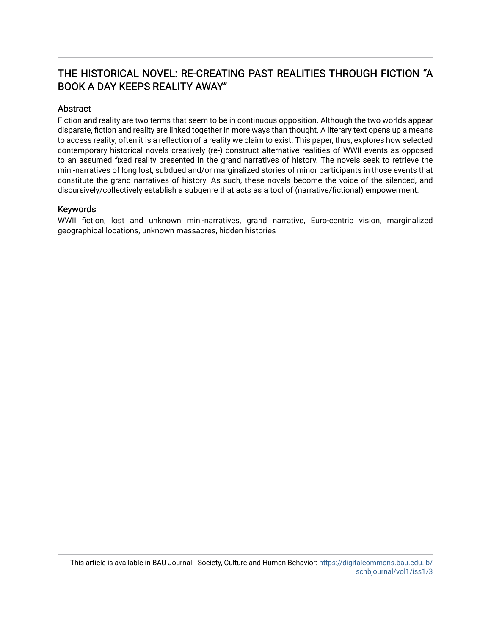# THE HISTORICAL NOVEL: RE-CREATING PAST REALITIES THROUGH FICTION "A BOOK A DAY KEEPS REALITY AWAY"

## Abstract

Fiction and reality are two terms that seem to be in continuous opposition. Although the two worlds appear disparate, fiction and reality are linked together in more ways than thought. A literary text opens up a means to access reality; often it is a reflection of a reality we claim to exist. This paper, thus, explores how selected contemporary historical novels creatively (re-) construct alternative realities of WWII events as opposed to an assumed fixed reality presented in the grand narratives of history. The novels seek to retrieve the mini-narratives of long lost, subdued and/or marginalized stories of minor participants in those events that constitute the grand narratives of history. As such, these novels become the voice of the silenced, and discursively/collectively establish a subgenre that acts as a tool of (narrative/fictional) empowerment.

### Keywords

WWII fiction, lost and unknown mini-narratives, grand narrative, Euro-centric vision, marginalized geographical locations, unknown massacres, hidden histories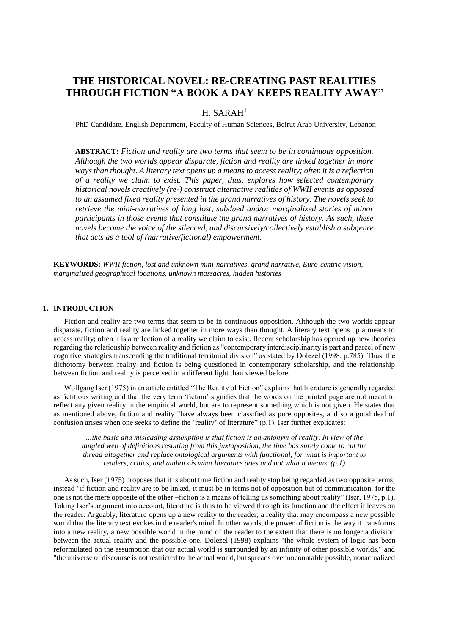# **THE HISTORICAL NOVEL: RE-CREATING PAST REALITIES THROUGH FICTION "A BOOK A DAY KEEPS REALITY AWAY"**

### $H. SARAH<sup>1</sup>$

<sup>1</sup>PhD Candidate, English Department, Faculty of Human Sciences, Beirut Arab University, Lebanon

**ABSTRACT:** *Fiction and reality are two terms that seem to be in continuous opposition. Although the two worlds appear disparate, fiction and reality are linked together in more ways than thought. A literary text opens up a means to access reality; often it is a reflection of a reality we claim to exist. This paper, thus, explores how selected contemporary historical novels creatively (re-) construct alternative realities of WWII events as opposed to an assumed fixed reality presented in the grand narratives of history. The novels seek to retrieve the mini-narratives of long lost, subdued and/or marginalized stories of minor participants in those events that constitute the grand narratives of history. As such, these novels become the voice of the silenced, and discursively/collectively establish a subgenre that acts as a tool of (narrative/fictional) empowerment.*

**KEYWORDS:** *WWII fiction, lost and unknown mini-narratives, grand narrative, Euro-centric vision, marginalized geographical locations, unknown massacres, hidden histories*

#### **1. INTRODUCTION**

Fiction and reality are two terms that seem to be in continuous opposition. Although the two worlds appear disparate, fiction and reality are linked together in more ways than thought. A literary text opens up a means to access reality; often it is a reflection of a reality we claim to exist. Recent scholarship has opened up new theories regarding the relationship between reality and fiction as "contemporary interdisciplinarity is part and parcel of new cognitive strategies transcending the traditional territorial division" as stated by Dolezel (1998, p.785). Thus, the dichotomy between reality and fiction is being questioned in contemporary scholarship, and the relationship between fiction and reality is perceived in a different light than viewed before.

Wolfgang Iser (1975) in an article entitled "The Reality of Fiction" explains that literature is generally regarded as fictitious writing and that the very term 'fiction' signifies that the words on the printed page are not meant to reflect any given reality in the empirical world, but are to represent something which is not given. He states that as mentioned above, fiction and reality "have always been classified as pure opposites, and so a good deal of confusion arises when one seeks to define the 'reality' of literature" (p.1). Iser further explicates:

*…the basic and misleading assumption is that fiction is an antonym of reality. In view of the tangled web of definitions resulting from this juxtaposition, the time has surely come to cut the thread altogether and replace ontological arguments with functional, for what is important to readers, critics, and authors is what literature does and not what it means. (p.1)* 

As such, Iser (1975) proposes that it is about time fiction and reality stop being regarded as two opposite terms; instead "if fiction and reality are to be linked, it must be in terms not of opposition but of communication, for the one is not the mere opposite of the other –fiction is a means of telling us something about reality" (Iser, 1975, p.1). Taking Iser's argument into account, literature is thus to be viewed through its function and the effect it leaves on the reader. Arguably, literature opens up a new reality to the reader; a reality that may encompass a new possible world that the literary text evokes in the reader's mind. In other words, the power of fiction is the way it transforms into a new reality, a new possible world in the mind of the reader to the extent that there is no longer a division between the actual reality and the possible one. Dolezel (1998) explains "the whole system of logic has been reformulated on the assumption that our actual world is surrounded by an infinity of other possible worlds," and "the universe of discourse is not restricted to the actual world, but spreads over uncountable possible, nonactualized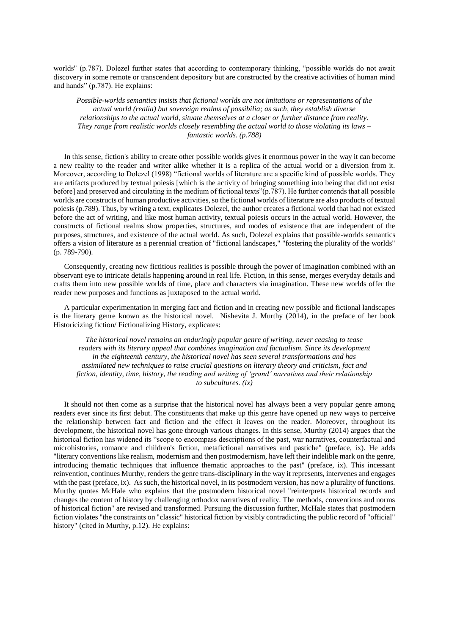worlds" (p.787). Dolezel further states that according to contemporary thinking, "possible worlds do not await discovery in some remote or transcendent depository but are constructed by the creative activities of human mind and hands" (p.787). He explains:

*Possible-worlds semantics insists that fictional worlds are not imitations or representations of the actual world (realia) but sovereign realms of possibilia; as such, they establish diverse relationships to the actual world, situate themselves at a closer or further distance from reality. They range from realistic worlds closely resembling the actual world to those violating its laws – fantastic worlds. (p.788)* 

In this sense, fiction's ability to create other possible worlds gives it enormous power in the way it can become a new reality to the reader and writer alike whether it is a replica of the actual world or a diversion from it. Moreover, according to Dolezel (1998) "fictional worlds of literature are a specific kind of possible worlds. They are artifacts produced by textual poiesis [which is the activity of bringing something into being that did not exist before] and preserved and circulating in the medium of fictional texts"(p.787). He further contends that all possible worlds are constructs of human productive activities, so the fictional worlds of literature are also products of textual poiesis (p.789). Thus, by writing a text, explicates Dolezel, the author creates a fictional world that had not existed before the act of writing, and like most human activity, textual poiesis occurs in the actual world. However, the constructs of fictional realms show properties, structures, and modes of existence that are independent of the purposes, structures, and existence of the actual world. As such, Dolezel explains that possible-worlds semantics offers a vision of literature as a perennial creation of "fictional landscapes," "fostering the plurality of the worlds" (p. 789-790).

Consequently, creating new fictitious realities is possible through the power of imagination combined with an observant eye to intricate details happening around in real life. Fiction, in this sense, merges everyday details and crafts them into new possible worlds of time, place and characters via imagination. These new worlds offer the reader new purposes and functions as juxtaposed to the actual world.

A particular experimentation in merging fact and fiction and in creating new possible and fictional landscapes is the literary genre known as the historical novel. Nishevita J. Murthy (2014), in the preface of her book Historicizing fiction/ Fictionalizing History, explicates:

*The historical novel remains an enduringly popular genre of writing, never ceasing to tease readers with its literary appeal that combines imagination and factualism. Since its development in the eighteenth century, the historical novel has seen several transformations and has assimilated new techniques to raise crucial questions on literary theory and criticism, fact and fiction, identity, time, history, the reading and writing of 'grand' narratives and their relationship to subcultures. (ix)*

It should not then come as a surprise that the historical novel has always been a very popular genre among readers ever since its first debut. The constituents that make up this genre have opened up new ways to perceive the relationship between fact and fiction and the effect it leaves on the reader. Moreover, throughout its development, the historical novel has gone through various changes. In this sense, Murthy (2014) argues that the historical fiction has widened its "scope to encompass descriptions of the past, war narratives, counterfactual and microhistories, romance and children's fiction, metafictional narratives and pastiche" (preface, ix). He adds "literary conventions like realism, modernism and then postmodernism, have left their indelible mark on the genre, introducing thematic techniques that influence thematic approaches to the past" (preface, ix). This incessant reinvention, continues Murthy, renders the genre trans-disciplinary in the way it represents, intervenes and engages with the past (preface, ix). As such, the historical novel, in its postmodern version, has now a plurality of functions. Murthy quotes McHale who explains that the postmodern historical novel "reinterprets historical records and changes the content of history by challenging orthodox narratives of reality. The methods, conventions and norms of historical fiction" are revised and transformed. Pursuing the discussion further, McHale states that postmodern fiction violates "the constraints on "classic" historical fiction by visibly contradicting the public record of "official" history" (cited in Murthy, p.12). He explains: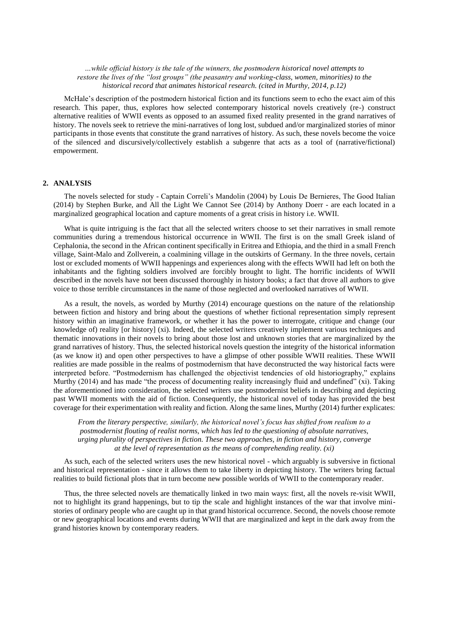*…while official history is the tale of the winners, the postmodern historical novel attempts to restore the lives of the "lost groups" (the peasantry and working-class, women, minorities) to the historical record that animates historical research. (cited in Murthy, 2014, p.12)*

McHale's description of the postmodern historical fiction and its functions seem to echo the exact aim of this research. This paper, thus, explores how selected contemporary historical novels creatively (re-) construct alternative realities of WWII events as opposed to an assumed fixed reality presented in the grand narratives of history. The novels seek to retrieve the mini-narratives of long lost, subdued and/or marginalized stories of minor participants in those events that constitute the grand narratives of history. As such, these novels become the voice of the silenced and discursively/collectively establish a subgenre that acts as a tool of (narrative/fictional) empowerment.

#### **2. ANALYSIS**

The novels selected for study - Captain Correli's Mandolin (2004) by Louis De Bernieres, The Good Italian (2014) by Stephen Burke, and All the Light We Cannot See (2014) by Anthony Doerr - are each located in a marginalized geographical location and capture moments of a great crisis in history i.e. WWII.

What is quite intriguing is the fact that all the selected writers choose to set their narratives in small remote communities during a tremendous historical occurrence in WWII. The first is on the small Greek island of Cephalonia, the second in the African continent specifically in Eritrea and Ethiopia, and the third in a small French village, Saint-Malo and Zollverein, a coalmining village in the outskirts of Germany. In the three novels, certain lost or excluded moments of WWII happenings and experiences along with the effects WWII had left on both the inhabitants and the fighting soldiers involved are forcibly brought to light. The horrific incidents of WWII described in the novels have not been discussed thoroughly in history books; a fact that drove all authors to give voice to those terrible circumstances in the name of those neglected and overlooked narratives of WWII.

As a result, the novels, as worded by Murthy (2014) encourage questions on the nature of the relationship between fiction and history and bring about the questions of whether fictional representation simply represent history within an imaginative framework, or whether it has the power to interrogate, critique and change (our knowledge of) reality [or history] (xi). Indeed, the selected writers creatively implement various techniques and thematic innovations in their novels to bring about those lost and unknown stories that are marginalized by the grand narratives of history. Thus, the selected historical novels question the integrity of the historical information (as we know it) and open other perspectives to have a glimpse of other possible WWII realities. These WWII realities are made possible in the realms of postmodernism that have deconstructed the way historical facts were interpreted before. "Postmodernism has challenged the objectivist tendencies of old historiography," explains Murthy (2014) and has made "the process of documenting reality increasingly fluid and undefined" (xi). Taking the aforementioned into consideration, the selected writers use postmodernist beliefs in describing and depicting past WWII moments with the aid of fiction. Consequently, the historical novel of today has provided the best coverage for their experimentation with reality and fiction. Along the same lines, Murthy (2014) further explicates:

*From the literary perspective, similarly, the historical novel's focus has shifted from realism to a postmodernist flouting of realist norms, which has led to the questioning of absolute narratives, urging plurality of perspectives in fiction. These two approaches, in fiction and history, converge at the level of representation as the means of comprehending reality. (xi)*

As such, each of the selected writers uses the new historical novel - which arguably is subversive in fictional and historical representation - since it allows them to take liberty in depicting history. The writers bring factual realities to build fictional plots that in turn become new possible worlds of WWII to the contemporary reader.

Thus, the three selected novels are thematically linked in two main ways: first, all the novels re-visit WWII, not to highlight its grand happenings, but to tip the scale and highlight instances of the war that involve ministories of ordinary people who are caught up in that grand historical occurrence. Second, the novels choose remote or new geographical locations and events during WWII that are marginalized and kept in the dark away from the grand histories known by contemporary readers.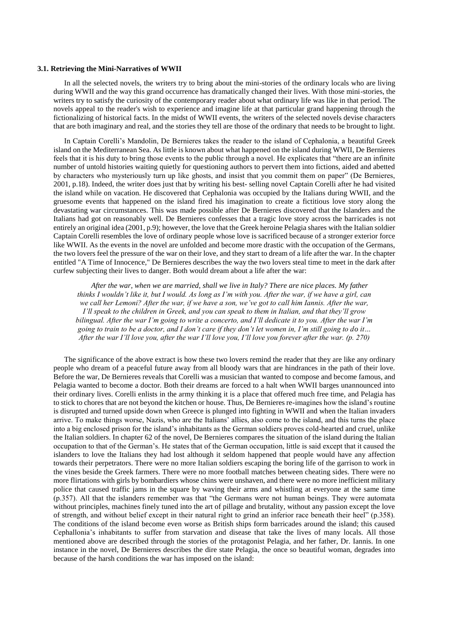#### **3.1. Retrieving the Mini-Narratives of WWII**

In all the selected novels, the writers try to bring about the mini-stories of the ordinary locals who are living during WWII and the way this grand occurrence has dramatically changed their lives. With those mini-stories, the writers try to satisfy the curiosity of the contemporary reader about what ordinary life was like in that period. The novels appeal to the reader's wish to experience and imagine life at that particular grand happening through the fictionalizing of historical facts. In the midst of WWII events, the writers of the selected novels devise characters that are both imaginary and real, and the stories they tell are those of the ordinary that needs to be brought to light.

In Captain Corelli's Mandolin, De Bernieres takes the reader to the island of Cephalonia, a beautiful Greek island on the Mediterranean Sea. As little is known about what happened on the island during WWII, De Bernieres feels that it is his duty to bring those events to the public through a novel. He explicates that "there are an infinite number of untold histories waiting quietly for questioning authors to pervert them into fictions, aided and abetted by characters who mysteriously turn up like ghosts, and insist that you commit them on paper" (De Bernieres, 2001, p.18). Indeed, the writer does just that by writing his best- selling novel Captain Corelli after he had visited the island while on vacation. He discovered that Cephalonia was occupied by the Italians during WWII, and the gruesome events that happened on the island fired his imagination to create a fictitious love story along the devastating war circumstances. This was made possible after De Bernieres discovered that the Islanders and the Italians had got on reasonably well. De Bernieres confesses that a tragic love story across the barricades is not entirely an original idea (2001, p.9); however, the love that the Greek heroine Pelagia shares with the Italian soldier Captain Corelli resembles the love of ordinary people whose love is sacrificed because of a stronger exterior force like WWII. As the events in the novel are unfolded and become more drastic with the occupation of the Germans, the two lovers feel the pressure of the war on their love, and they start to dream of a life after the war. In the chapter entitled "A Time of Innocence," De Bernieres describes the way the two lovers steal time to meet in the dark after curfew subjecting their lives to danger. Both would dream about a life after the war:

 *After the war, when we are married, shall we live in Italy? There are nice places. My father thinks I wouldn't like it, but I would. As long as I'm with you. After the war, if we have a girl, can we call her Lemoni? After the war, if we have a son, we've got to call him Iannis. After the war, I'll speak to the children in Greek, and you can speak to them in Italian, and that they'll grow bilingual. After the war I'm going to write a concerto, and I'll dedicate it to you. After the war I'm going to train to be a doctor, and I don't care if they don't let women in, I'm still going to do it… After the war I'll love you, after the war I'll love you, I'll love you forever after the war. (p. 270)* 

The significance of the above extract is how these two lovers remind the reader that they are like any ordinary people who dream of a peaceful future away from all bloody wars that are hindrances in the path of their love. Before the war, De Bernieres reveals that Corelli was a musician that wanted to compose and become famous, and Pelagia wanted to become a doctor. Both their dreams are forced to a halt when WWII barges unannounced into their ordinary lives. Corelli enlists in the army thinking it is a place that offered much free time, and Pelagia has to stick to chores that are not beyond the kitchen or house. Thus, De Bernieres re-imagines how the island's routine is disrupted and turned upside down when Greece is plunged into fighting in WWII and when the Italian invaders arrive. To make things worse, Nazis, who are the Italians' allies, also come to the island, and this turns the place into a big enclosed prison for the island's inhabitants as the German soldiers proves cold-hearted and cruel, unlike the Italian soldiers. In chapter 62 of the novel, De Bernieres compares the situation of the island during the Italian occupation to that of the German's. He states that of the German occupation, little is said except that it caused the islanders to love the Italians they had lost although it seldom happened that people would have any affection towards their perpetrators. There were no more Italian soldiers escaping the boring life of the garrison to work in the vines beside the Greek farmers. There were no more football matches between cheating sides. There were no more flirtations with girls by bombardiers whose chins were unshaven, and there were no more inefficient military police that caused traffic jams in the square by waving their arms and whistling at everyone at the same time (p.357). All that the islanders remember was that "the Germans were not human beings. They were automata without principles, machines finely tuned into the art of pillage and brutality, without any passion except the love of strength, and without belief except in their natural right to grind an inferior race beneath their heel" (p.358). The conditions of the island become even worse as British ships form barricades around the island; this caused Cephallonia's inhabitants to suffer from starvation and disease that take the lives of many locals. All those mentioned above are described through the stories of the protagonist Pelagia, and her father, Dr. Iannis. In one instance in the novel, De Bernieres describes the dire state Pelagia, the once so beautiful woman, degrades into because of the harsh conditions the war has imposed on the island: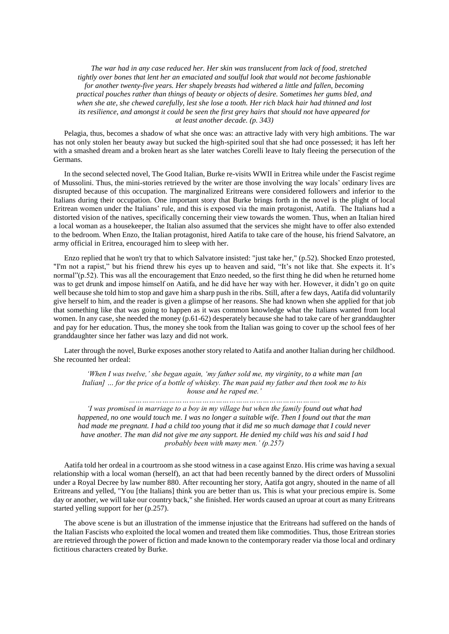*The war had in any case reduced her. Her skin was translucent from lack of food, stretched tightly over bones that lent her an emaciated and soulful look that would not become fashionable for another twenty-five years. Her shapely breasts had withered a little and fallen, becoming practical pouches rather than things of beauty or objects of desire. Sometimes her gums bled, and when she ate, she chewed carefully, lest she lose a tooth. Her rich black hair had thinned and lost its resilience, and amongst it could be seen the first grey hairs that should not have appeared for at least another decade. (p. 343)*

Pelagia, thus, becomes a shadow of what she once was: an attractive lady with very high ambitions. The war has not only stolen her beauty away but sucked the high-spirited soul that she had once possessed; it has left her with a smashed dream and a broken heart as she later watches Corelli leave to Italy fleeing the persecution of the Germans.

In the second selected novel, The Good Italian, Burke re-visits WWII in Eritrea while under the Fascist regime of Mussolini. Thus, the mini-stories retrieved by the writer are those involving the way locals' ordinary lives are disrupted because of this occupation. The marginalized Eritreans were considered followers and inferior to the Italians during their occupation. One important story that Burke brings forth in the novel is the plight of local Eritrean women under the Italians' rule, and this is exposed via the main protagonist, Aatifa. The Italians had a distorted vision of the natives, specifically concerning their view towards the women. Thus, when an Italian hired a local woman as a housekeeper, the Italian also assumed that the services she might have to offer also extended to the bedroom. When Enzo, the Italian protagonist, hired Aatifa to take care of the house, his friend Salvatore, an army official in Eritrea, encouraged him to sleep with her.

Enzo replied that he won't try that to which Salvatore insisted: "just take her," (p.52). Shocked Enzo protested, "I'm not a rapist," but his friend threw his eyes up to heaven and said, "It's not like that. She expects it. It's normal"(p.52). This was all the encouragement that Enzo needed, so the first thing he did when he returned home was to get drunk and impose himself on Aatifa, and he did have her way with her. However, it didn't go on quite well because she told him to stop and gave him a sharp push in the ribs. Still, after a few days, Aatifa did voluntarily give herself to him, and the reader is given a glimpse of her reasons. She had known when she applied for that job that something like that was going to happen as it was common knowledge what the Italians wanted from local women. In any case, she needed the money (p.61-62) desperately because she had to take care of her granddaughter and pay for her education. Thus, the money she took from the Italian was going to cover up the school fees of her granddaughter since her father was lazy and did not work.

Later through the novel, Burke exposes another story related to Aatifa and another Italian during her childhood. She recounted her ordeal:

*'When I was twelve,' she began again, 'my father sold me, my virginity, to a white man [an Italian] … for the price of a bottle of whiskey. The man paid my father and then took me to his house and he raped me.' …………………………………………………………………………..*

*'I was promised in marriage to a boy in my village but when the family found out what had happened, no one would touch me. I was no longer a suitable wife. Then I found out that the man had made me pregnant. I had a child too young that it did me so much damage that I could never have another. The man did not give me any support. He denied my child was his and said I had probably been with many men.' (p.257)*

Aatifa told her ordeal in a courtroom as she stood witness in a case against Enzo. His crime was having a sexual relationship with a local woman (herself), an act that had been recently banned by the direct orders of Mussolini under a Royal Decree by law number 880. After recounting her story, Aatifa got angry, shouted in the name of all Eritreans and yelled, "You [the Italians] think you are better than us. This is what your precious empire is. Some day or another, we will take our country back," she finished. Her words caused an uproar at court as many Eritreans started yelling support for her (p.257).

The above scene is but an illustration of the immense injustice that the Eritreans had suffered on the hands of the Italian Fascists who exploited the local women and treated them like commodities. Thus, those Eritrean stories are retrieved through the power of fiction and made known to the contemporary reader via those local and ordinary fictitious characters created by Burke.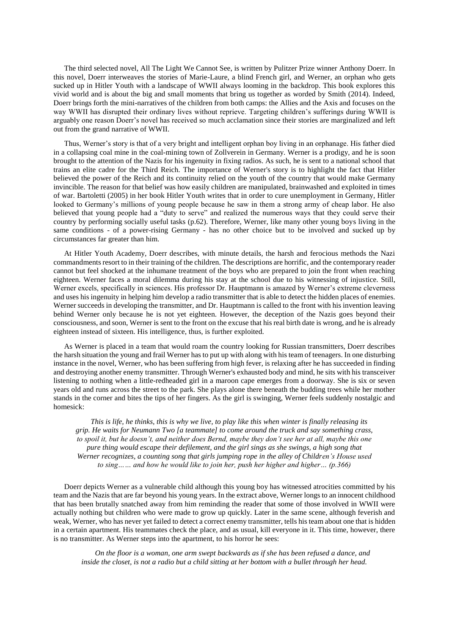The third selected novel, All The Light We Cannot See, is written by Pulitzer Prize winner Anthony Doerr. In this novel, Doerr interweaves the stories of Marie-Laure, a blind French girl, and Werner, an orphan who gets sucked up in Hitler Youth with a landscape of WWII always looming in the backdrop. This book explores this vivid world and is about the big and small moments that bring us together as worded by Smith (2014). Indeed, Doerr brings forth the mini-narratives of the children from both camps: the Allies and the Axis and focuses on the way WWII has disrupted their ordinary lives without reprieve. Targeting children's sufferings during WWII is arguably one reason Doerr's novel has received so much acclamation since their stories are marginalized and left out from the grand narrative of WWII.

Thus, Werner's story is that of a very bright and intelligent orphan boy living in an orphanage. His father died in a collapsing coal mine in the coal-mining town of Zollverein in Germany. Werner is a prodigy, and he is soon brought to the attention of the Nazis for his ingenuity in fixing radios. As such, he is sent to a national school that trains an elite cadre for the Third Reich. The importance of Werner's story is to highlight the fact that Hitler believed the power of the Reich and its continuity relied on the youth of the country that would make Germany invincible. The reason for that belief was how easily children are manipulated, brainwashed and exploited in times of war. Bartoletti (2005) in her book Hitler Youth writes that in order to cure unemployment in Germany, Hitler looked to Germany's millions of young people because he saw in them a strong army of cheap labor. He also believed that young people had a "duty to serve" and realized the numerous ways that they could serve their country by performing socially useful tasks (p.62). Therefore, Werner, like many other young boys living in the same conditions - of a power-rising Germany - has no other choice but to be involved and sucked up by circumstances far greater than him.

At Hitler Youth Academy, Doerr describes, with minute details, the harsh and ferocious methods the Nazi commandments resort to in their training of the children. The descriptions are horrific, and the contemporary reader cannot but feel shocked at the inhumane treatment of the boys who are prepared to join the front when reaching eighteen. Werner faces a moral dilemma during his stay at the school due to his witnessing of injustice. Still, Werner excels, specifically in sciences. His professor Dr. Hauptmann is amazed by Werner's extreme cleverness and uses his ingenuity in helping him develop a radio transmitter that is able to detect the hidden places of enemies. Werner succeeds in developing the transmitter, and Dr. Hauptmann is called to the front with his invention leaving behind Werner only because he is not yet eighteen. However, the deception of the Nazis goes beyond their consciousness, and soon, Werner is sent to the front on the excuse that his real birth date is wrong, and he is already eighteen instead of sixteen. His intelligence, thus, is further exploited.

As Werner is placed in a team that would roam the country looking for Russian transmitters, Doerr describes the harsh situation the young and frail Werner has to put up with along with his team of teenagers. In one disturbing instance in the novel, Werner, who has been suffering from high fever, is relaxing after he has succeeded in finding and destroying another enemy transmitter. Through Werner's exhausted body and mind, he sits with his transceiver listening to nothing when a little-redheaded girl in a maroon cape emerges from a doorway. She is six or seven years old and runs across the street to the park. She plays alone there beneath the budding trees while her mother stands in the corner and bites the tips of her fingers. As the girl is swinging, Werner feels suddenly nostalgic and homesick:

 *This is life, he thinks, this is why we live, to play like this when winter is finally releasing its grip. He waits for Neumann Two [a teammate] to come around the truck and say something crass, to spoil it, but he doesn't, and neither does Bernd, maybe they don't see her at all, maybe this one pure thing would escape their defilement, and the girl sings as she swings, a high song that Werner recognizes, a counting song that girls jumping rope in the alley of Children's House used to sing…… and how he would like to join her, push her higher and higher… (p.366)*

Doerr depicts Werner as a vulnerable child although this young boy has witnessed atrocities committed by his team and the Nazis that are far beyond his young years. In the extract above, Werner longs to an innocent childhood that has been brutally snatched away from him reminding the reader that some of those involved in WWII were actually nothing but children who were made to grow up quickly. Later in the same scene, although feverish and weak, Werner, who has never yet failed to detect a correct enemy transmitter, tells his team about one that is hidden in a certain apartment. His teammates check the place, and as usual, kill everyone in it. This time, however, there is no transmitter. As Werner steps into the apartment, to his horror he sees:

 *On the floor is a woman, one arm swept backwards as if she has been refused a dance, and inside the closet, is not a radio but a child sitting at her bottom with a bullet through her head.*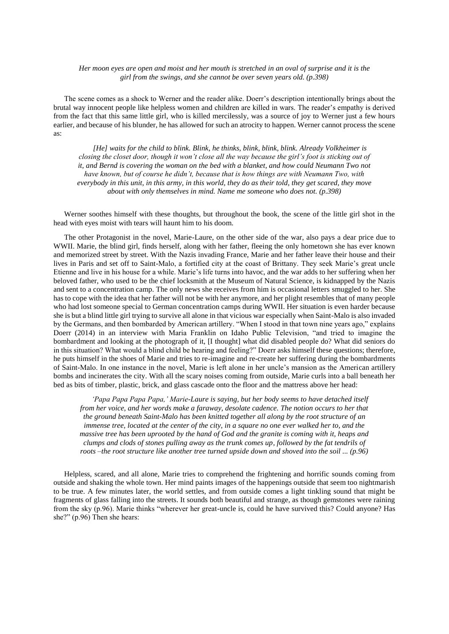#### *Her moon eyes are open and moist and her mouth is stretched in an oval of surprise and it is the girl from the swings, and she cannot be over seven years old. (p.398)*

The scene comes as a shock to Werner and the reader alike. Doerr's description intentionally brings about the brutal way innocent people like helpless women and children are killed in wars. The reader's empathy is derived from the fact that this same little girl, who is killed mercilessly, was a source of joy to Werner just a few hours earlier, and because of his blunder, he has allowed for such an atrocity to happen. Werner cannot process the scene as:

 *[He] waits for the child to blink. Blink, he thinks, blink, blink, blink. Already Volkheimer is closing the closet door, though it won't close all the way because the girl's foot is sticking out of it, and Bernd is covering the woman on the bed with a blanket, and how could Neumann Two not have known, but of course he didn't, because that is how things are with Neumann Two, with everybody in this unit, in this army, in this world, they do as their told, they get scared, they move about with only themselves in mind. Name me someone who does not. (p.398)*

Werner soothes himself with these thoughts, but throughout the book, the scene of the little girl shot in the head with eyes moist with tears will haunt him to his doom.

The other Protagonist in the novel, Marie-Laure, on the other side of the war, also pays a dear price due to WWII. Marie, the blind girl, finds herself, along with her father, fleeing the only hometown she has ever known and memorized street by street. With the Nazis invading France, Marie and her father leave their house and their lives in Paris and set off to Saint-Malo, a fortified city at the coast of Brittany. They seek Marie's great uncle Etienne and live in his house for a while. Marie's life turns into havoc, and the war adds to her suffering when her beloved father, who used to be the chief locksmith at the Museum of Natural Science, is kidnapped by the Nazis and sent to a concentration camp. The only news she receives from him is occasional letters smuggled to her. She has to cope with the idea that her father will not be with her anymore, and her plight resembles that of many people who had lost someone special to German concentration camps during WWII. Her situation is even harder because she is but a blind little girl trying to survive all alone in that vicious war especially when Saint-Malo is also invaded by the Germans, and then bombarded by American artillery. "When I stood in that town nine years ago," explains Doerr (2014) in an interview with Maria Franklin on Idaho Public Television, "and tried to imagine the bombardment and looking at the photograph of it, [I thought] what did disabled people do? What did seniors do in this situation? What would a blind child be hearing and feeling?" Doerr asks himself these questions; therefore, he puts himself in the shoes of Marie and tries to re-imagine and re-create her suffering during the bombardments of Saint-Malo. In one instance in the novel, Marie is left alone in her uncle's mansion as the American artillery bombs and incinerates the city. With all the scary noises coming from outside, Marie curls into a ball beneath her bed as bits of timber, plastic, brick, and glass cascade onto the floor and the mattress above her head:

 *'Papa Papa Papa Papa,' Marie-Laure is saying, but her body seems to have detached itself from her voice, and her words make a faraway, desolate cadence. The notion occurs to her that the ground beneath Saint-Malo has been knitted together all along by the root structure of an immense tree, located at the center of the city, in a square no one ever walked her to, and the massive tree has been uprooted by the hand of God and the granite is coming with it, heaps and clumps and clods of stones pulling away as the trunk comes up, followed by the fat tendrils of roots –the root structure like another tree turned upside down and shoved into the soil ... (p.96)* 

Helpless, scared, and all alone, Marie tries to comprehend the frightening and horrific sounds coming from outside and shaking the whole town. Her mind paints images of the happenings outside that seem too nightmarish to be true. A few minutes later, the world settles, and from outside comes a light tinkling sound that might be fragments of glass falling into the streets. It sounds both beautiful and strange, as though gemstones were raining from the sky (p.96). Marie thinks "wherever her great-uncle is, could he have survived this? Could anyone? Has she?" (p.96) Then she hears: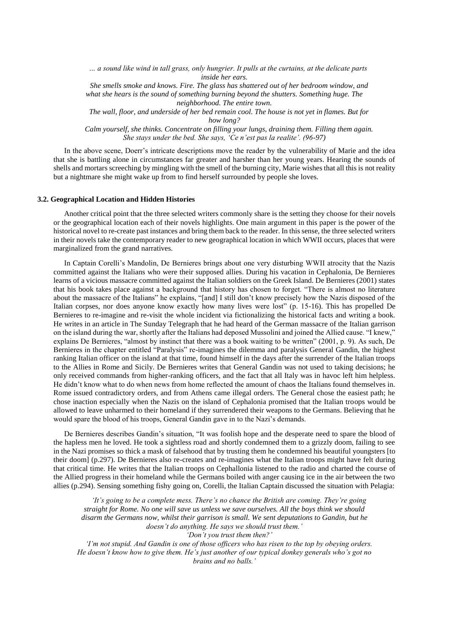*… a sound like wind in tall grass, only hungrier. It pulls at the curtains, at the delicate parts inside her ears.* 

 *She smells smoke and knows. Fire. The glass has shattered out of her bedroom window, and what she hears is the sound of something burning beyond the shutters. Something huge. The neighborhood. The entire town.* 

 *The wall, floor, and underside of her bed remain cool. The house is not yet in flames. But for how long?*

 *Calm yourself, she thinks. Concentrate on filling your lungs, draining them. Filling them again. She stays under the bed. She says, 'Ce n'est pas la realite'. (96-97)*

In the above scene, Doerr's intricate descriptions move the reader by the vulnerability of Marie and the idea that she is battling alone in circumstances far greater and harsher than her young years. Hearing the sounds of shells and mortars screeching by mingling with the smell of the burning city, Marie wishes that all this is not reality but a nightmare she might wake up from to find herself surrounded by people she loves.

#### **3.2. Geographical Location and Hidden Histories**

Another critical point that the three selected writers commonly share is the setting they choose for their novels or the geographical location each of their novels highlights. One main argument in this paper is the power of the historical novel to re-create past instances and bring them back to the reader. In this sense, the three selected writers in their novels take the contemporary reader to new geographical location in which WWII occurs, places that were marginalized from the grand narratives.

In Captain Corelli's Mandolin, De Bernieres brings about one very disturbing WWII atrocity that the Nazis committed against the Italians who were their supposed allies. During his vacation in Cephalonia, De Bernieres learns of a vicious massacre committed against the Italian soldiers on the Greek Island. De Bernieres (2001) states that his book takes place against a background that history has chosen to forget. "There is almost no literature about the massacre of the Italians" he explains, "[and] I still don't know precisely how the Nazis disposed of the Italian corpses, nor does anyone know exactly how many lives were lost" (p. 15-16). This has propelled De Bernieres to re-imagine and re-visit the whole incident via fictionalizing the historical facts and writing a book. He writes in an article in The Sunday Telegraph that he had heard of the German massacre of the Italian garrison on the island during the war, shortly after the Italians had deposed Mussolini and joined the Allied cause. "I knew," explains De Bernieres, "almost by instinct that there was a book waiting to be written" (2001, p. 9). As such, De Bernieres in the chapter entitled "Paralysis" re-imagines the dilemma and paralysis General Gandin, the highest ranking Italian officer on the island at that time, found himself in the days after the surrender of the Italian troops to the Allies in Rome and Sicily. De Bernieres writes that General Gandin was not used to taking decisions; he only received commands from higher-ranking officers, and the fact that all Italy was in havoc left him helpless. He didn't know what to do when news from home reflected the amount of chaos the Italians found themselves in. Rome issued contradictory orders, and from Athens came illegal orders. The General chose the easiest path; he chose inaction especially when the Nazis on the island of Cephalonia promised that the Italian troops would be allowed to leave unharmed to their homeland if they surrendered their weapons to the Germans. Believing that he would spare the blood of his troops, General Gandin gave in to the Nazi's demands.

De Bernieres describes Gandin's situation, "It was foolish hope and the desperate need to spare the blood of the hapless men he loved. He took a sightless road and shortly condemned them to a grizzly doom, failing to see in the Nazi promises so thick a mask of falsehood that by trusting them he condemned his beautiful youngsters [to their doom] (p.297). De Bernieres also re-creates and re-imagines what the Italian troops might have felt during that critical time. He writes that the Italian troops on Cephallonia listened to the radio and charted the course of the Allied progress in their homeland while the Germans boiled with anger causing ice in the air between the two allies (p.294). Sensing something fishy going on, Corelli, the Italian Captain discussed the situation with Pelagia:

 *'It's going to be a complete mess. There's no chance the British are coming. They're going straight for Rome. No one will save us unless we save ourselves. All the boys think we should disarm the Germans now, whilst their garrison is small. We sent deputations to Gandin, but he doesn't do anything. He says we should trust them.' 'Don't you trust them then?'*

 *'I'm not stupid. And Gandin is one of those officers who has risen to the top by obeying orders. He doesn't know how to give them. He's just another of our typical donkey generals who's got no brains and no balls.'*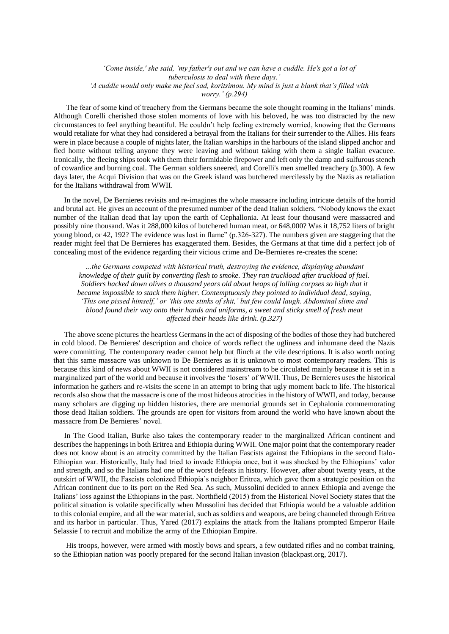#### *'Come inside,' she said, 'my father's out and we can have a cuddle. He's got a lot of tuberculosis to deal with these days.' 'A cuddle would only make me feel sad, koritsimou. My mind is just a blank that's filled with worry.' (p.294)*

The fear of some kind of treachery from the Germans became the sole thought roaming in the Italians' minds. Although Corelli cherished those stolen moments of love with his beloved, he was too distracted by the new circumstances to feel anything beautiful. He couldn't help feeling extremely worried, knowing that the Germans would retaliate for what they had considered a betrayal from the Italians for their surrender to the Allies. His fears were in place because a couple of nights later, the Italian warships in the harbours of the island slipped anchor and fled home without telling anyone they were leaving and without taking with them a single Italian evacuee. Ironically, the fleeing ships took with them their formidable firepower and left only the damp and sulfurous stench of cowardice and burning coal. The German soldiers sneered, and Corelli's men smelled treachery (p.300). A few days later, the Acqui Division that was on the Greek island was butchered mercilessly by the Nazis as retaliation for the Italians withdrawal from WWII.

In the novel, De Bernieres revisits and re-imagines the whole massacre including intricate details of the horrid and brutal act. He gives an account of the presumed number of the dead Italian soldiers, "Nobody knows the exact number of the Italian dead that lay upon the earth of Cephallonia. At least four thousand were massacred and possibly nine thousand. Was it 288,000 kilos of butchered human meat, or 648,000? Was it 18,752 liters of bright young blood, or 42, 192? The evidence was lost in flame" (p.326-327). The numbers given are staggering that the reader might feel that De Bernieres has exaggerated them. Besides, the Germans at that time did a perfect job of concealing most of the evidence regarding their vicious crime and De-Bernieres re-creates the scene:

*…the Germans competed with historical truth, destroying the evidence, displaying abundant knowledge of their guilt by converting flesh to smoke. They ran truckload after truckload of fuel. Soldiers hacked down olives a thousand years old about heaps of lolling corpses so high that it became impossible to stack them higher. Contemptuously they pointed to individual dead, saying, 'This one pissed himself,' or 'this one stinks of shit,' but few could laugh. Abdominal slime and blood found their way onto their hands and uniforms, a sweet and sticky smell of fresh meat affected their heads like drink. (p.327)*

The above scene pictures the heartless Germans in the act of disposing of the bodies of those they had butchered in cold blood. De Bernieres' description and choice of words reflect the ugliness and inhumane deed the Nazis were committing. The contemporary reader cannot help but flinch at the vile descriptions. It is also worth noting that this same massacre was unknown to De Bernieres as it is unknown to most contemporary readers. This is because this kind of news about WWII is not considered mainstream to be circulated mainly because it is set in a marginalized part of the world and because it involves the 'losers' of WWII. Thus, De Bernieres uses the historical information he gathers and re-visits the scene in an attempt to bring that ugly moment back to life. The historical records also show that the massacre is one of the most hideous atrocities in the history of WWII, and today, because many scholars are digging up hidden histories, there are memorial grounds set in Cephalonia commemorating those dead Italian soldiers. The grounds are open for visitors from around the world who have known about the massacre from De Bernieres' novel.

In The Good Italian, Burke also takes the contemporary reader to the marginalized African continent and describes the happenings in both Eritrea and Ethiopia during WWII. One major point that the contemporary reader does not know about is an atrocity committed by the Italian Fascists against the Ethiopians in the second Italo-Ethiopian war. Historically, Italy had tried to invade Ethiopia once, but it was shocked by the Ethiopians' valor and strength, and so the Italians had one of the worst defeats in history. However, after about twenty years, at the outskirt of WWII, the Fascists colonized Ethiopia's neighbor Eritrea, which gave them a strategic position on the African continent due to its port on the Red Sea. As such, Mussolini decided to annex Ethiopia and avenge the Italians' loss against the Ethiopians in the past. Northfield (2015) from the Historical Novel Society states that the political situation is volatile specifically when Mussolini has decided that Ethiopia would be a valuable addition to this colonial empire, and all the war material, such as soldiers and weapons, are being channeled through Eritrea and its harbor in particular. Thus, Yared (2017) explains the attack from the Italians prompted Emperor Haile Selassie I to recruit and mobilize the army of the Ethiopian Empire.

His troops, however, were armed with mostly bows and spears, a few outdated rifles and no combat training, so the Ethiopian nation was poorly prepared for the second Italian invasion (blackpast.org, 2017).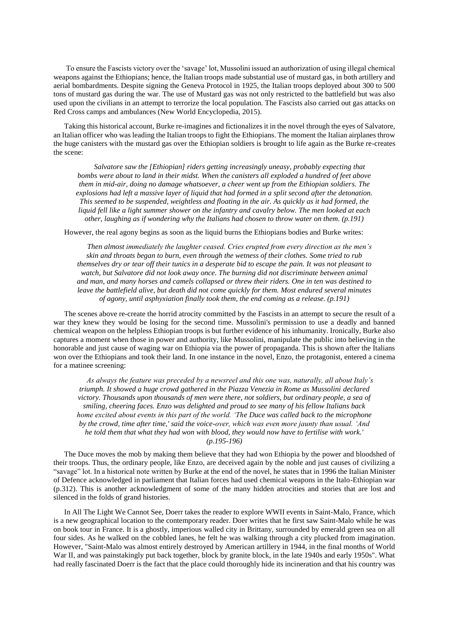To ensure the Fascists victory over the 'savage' lot, Mussolini issued an authorization of using illegal chemical weapons against the Ethiopians; hence, the Italian troops made substantial use of mustard gas, in both artillery and aerial bombardments. Despite signing the Geneva Protocol in 1925, the Italian troops deployed about 300 to 500 tons of mustard gas during the war. The use of Mustard gas was not only restricted to the battlefield but was also used upon the civilians in an attempt to terrorize the local population. The Fascists also carried out gas attacks on Red Cross camps and ambulances (New World Encyclopedia, 2015).

Taking this historical account, Burke re-imagines and fictionalizes it in the novel through the eyes of Salvatore, an Italian officer who was leading the Italian troops to fight the Ethiopians. The moment the Italian airplanes throw the huge canisters with the mustard gas over the Ethiopian soldiers is brought to life again as the Burke re-creates the scene:

 *Salvatore saw the [Ethiopian] riders getting increasingly uneasy, probably expecting that bombs were about to land in their midst. When the canisters all exploded a hundred of feet above them in mid-air, doing no damage whatsoever, a cheer went up from the Ethiopian soldiers. The explosions had left a massive layer of liquid that had formed in a split second after the detonation. This seemed to be suspended, weightless and floating in the air. As quickly as it had formed, the liquid fell like a light summer shower on the infantry and cavalry below. The men looked at each other, laughing as if wondering why the Italians had chosen to throw water on them. (p.191)*

However, the real agony begins as soon as the liquid burns the Ethiopians bodies and Burke writes:

 *Then almost immediately the laughter ceased. Cries erupted from every direction as the men's skin and throats began to burn, even through the wetness of their clothes. Some tried to rub themselves dry or tear off their tunics in a desperate bid to escape the pain. It was not pleasant to watch, but Salvatore did not look away once. The burning did not discriminate between animal and man, and many horses and camels collapsed or threw their riders. One in ten was destined to leave the battlefield alive, but death did not come quickly for them. Most endured several minutes of agony, until asphyxiation finally took them, the end coming as a release. (p.191)*

The scenes above re-create the horrid atrocity committed by the Fascists in an attempt to secure the result of a war they knew they would be losing for the second time. Mussolini's permission to use a deadly and banned chemical weapon on the helpless Ethiopian troops is but further evidence of his inhumanity. Ironically, Burke also captures a moment when those in power and authority, like Mussolini, manipulate the public into believing in the honorable and just cause of waging war on Ethiopia via the power of propaganda. This is shown after the Italians won over the Ethiopians and took their land. In one instance in the novel, Enzo, the protagonist, entered a cinema for a matinee screening:

 *As always the feature was preceded by a newsreel and this one was, naturally, all about Italy's triumph. It showed a huge crowd gathered in the Piazza Venezia in Rome as Mussolini declared victory. Thousands upon thousands of men were there, not soldiers, but ordinary people, a sea of smiling, cheering faces. Enzo was delighted and proud to see many of his fellow Italians back home excited about events in this part of the world. 'The Duce was called back to the microphone by the crowd, time after time,' said the voice-over, which was even more jaunty than usual. 'And he told them that what they had won with blood, they would now have to fertilise with work.' (p.195-196)* 

The Duce moves the mob by making them believe that they had won Ethiopia by the power and bloodshed of their troops. Thus, the ordinary people, like Enzo, are deceived again by the noble and just causes of civilizing a "savage" lot. In a historical note written by Burke at the end of the novel, he states that in 1996 the Italian Minister of Defence acknowledged in parliament that Italian forces had used chemical weapons in the Italo-Ethiopian war (p.312). This is another acknowledgment of some of the many hidden atrocities and stories that are lost and silenced in the folds of grand histories.

In All The Light We Cannot See, Doerr takes the reader to explore WWII events in Saint-Malo, France, which is a new geographical location to the contemporary reader. Doer writes that he first saw Saint-Malo while he was on book tour in France. It is a ghostly, imperious walled city in Brittany, surrounded by emerald green sea on all four sides. As he walked on the cobbled lanes, he felt he was walking through a city plucked from imagination. However, "Saint-Malo was almost entirely destroyed by American artillery in 1944, in the final months of World War II, and was painstakingly put back together, block by granite block, in the late 1940s and early 1950s". What had really fascinated Doerr is the fact that the place could thoroughly hide its incineration and that his country was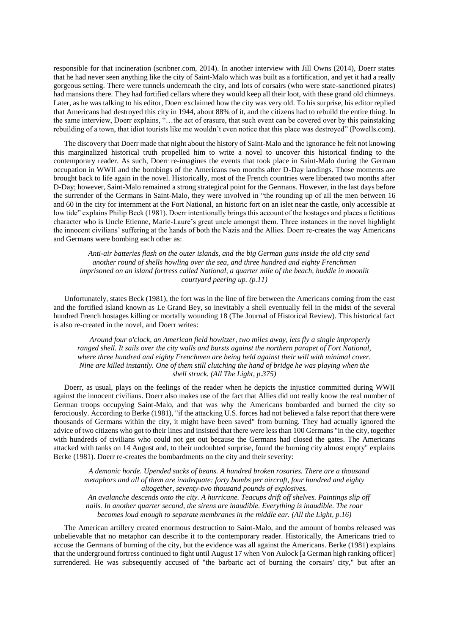responsible for that incineration (scribner.com, 2014). In another interview with Jill Owns (2014), Doerr states that he had never seen anything like the city of Saint-Malo which was built as a fortification, and yet it had a really gorgeous setting. There were tunnels underneath the city, and lots of corsairs (who were state-sanctioned pirates) had mansions there. They had fortified cellars where they would keep all their loot, with these grand old chimneys. Later, as he was talking to his editor, Doerr exclaimed how the city was very old. To his surprise, his editor replied that Americans had destroyed this city in 1944, about 88% of it, and the citizens had to rebuild the entire thing. In the same interview, Doerr explains, "…the act of erasure, that such event can be covered over by this painstaking rebuilding of a town, that idiot tourists like me wouldn't even notice that this place was destroyed" (Powells.com).

The discovery that Doerr made that night about the history of Saint-Malo and the ignorance he felt not knowing this marginalized historical truth propelled him to write a novel to uncover this historical finding to the contemporary reader. As such, Doerr re-imagines the events that took place in Saint-Malo during the German occupation in WWII and the bombings of the Americans two months after D-Day landings. Those moments are brought back to life again in the novel. Historically, most of the French countries were liberated two months after D-Day; however, Saint-Malo remained a strong strategical point for the Germans. However, in the last days before the surrender of the Germans in Saint-Malo, they were involved in "the rounding up of all the men between 16 and 60 in the city for internment at the Fort National, an historic fort on an islet near the castle, only accessible at low tide" explains Philip Beck (1981). Doerr intentionally brings this account of the hostages and places a fictitious character who is Uncle Etienne, Marie-Laure's great uncle amongst them. Three instances in the novel highlight the innocent civilians' suffering at the hands of both the Nazis and the Allies. Doerr re-creates the way Americans and Germans were bombing each other as:

 *Anti-air batteries flash on the outer islands, and the big German guns inside the old city send another round of shells howling over the sea, and three hundred and eighty Frenchmen imprisoned on an island fortress called National, a quarter mile of the beach, huddle in moonlit courtyard peering up. (p.11)*

Unfortunately, states Beck (1981), the fort was in the line of fire between the Americans coming from the east and the fortified island known as Le Grand Bey, so inevitably a shell eventually fell in the midst of the several hundred French hostages killing or mortally wounding 18 (The Journal of Historical Review). This historical fact is also re-created in the novel, and Doerr writes:

 *Around four o'clock, an American field howitzer, two miles away, lets fly a single improperly ranged shell. It sails over the city walls and bursts against the northern parapet of Fort National, where three hundred and eighty Frenchmen are being held against their will with minimal cover. Nine are killed instantly. One of them still clutching the hand of bridge he was playing when the shell struck. (All The Light, p.375)* 

Doerr, as usual, plays on the feelings of the reader when he depicts the injustice committed during WWII against the innocent civilians. Doerr also makes use of the fact that Allies did not really know the real number of German troops occupying Saint-Malo, and that was why the Americans bombarded and burned the city so ferociously. According to Berke (1981), "if the attacking U.S. forces had not believed a false report that there were thousands of Germans within the city, it might have been saved" from burning. They had actually ignored the advice of two citizens who got to their lines and insisted that there were less than 100 Germans "in the city, together with hundreds of civilians who could not get out because the Germans had closed the gates. The Americans attacked with tanks on 14 August and, to their undoubted surprise, found the burning city almost empty" explains Berke (1981). Doerr re-creates the bombardments on the city and their severity:

 *A demonic horde. Upended sacks of beans. A hundred broken rosaries. There are a thousand metaphors and all of them are inadequate: forty bombs per aircraft, four hundred and eighty altogether, seventy-two thousand pounds of explosives. An avalanche descends onto the city. A hurricane. Teacups drift off shelves. Paintings slip off nails. In another quarter second, the sirens are inaudible. Everything is inaudible. The roar becomes loud enough to separate membranes in the middle ear. (All the Light, p.16)* 

The American artillery created enormous destruction to Saint-Malo, and the amount of bombs released was unbelievable that no metaphor can describe it to the contemporary reader. Historically, the Americans tried to accuse the Germans of burning of the city, but the evidence was all against the Americans. Berke (1981) explains that the underground fortress continued to fight until August 17 when Von Aulock [a German high ranking officer] surrendered. He was subsequently accused of "the barbaric act of burning the corsairs' city," but after an